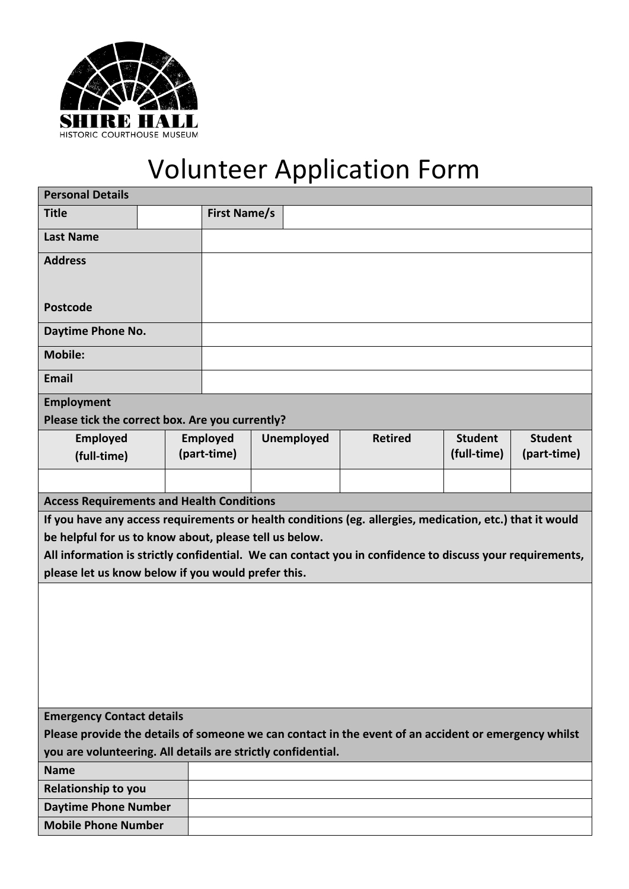

## Volunteer Application Form

| <b>Personal Details</b>                                                                                  |  |                     |  |                   |                |                |                |  |  |  |
|----------------------------------------------------------------------------------------------------------|--|---------------------|--|-------------------|----------------|----------------|----------------|--|--|--|
| <b>Title</b>                                                                                             |  | <b>First Name/s</b> |  |                   |                |                |                |  |  |  |
| <b>Last Name</b>                                                                                         |  |                     |  |                   |                |                |                |  |  |  |
| <b>Address</b>                                                                                           |  |                     |  |                   |                |                |                |  |  |  |
|                                                                                                          |  |                     |  |                   |                |                |                |  |  |  |
| <b>Postcode</b>                                                                                          |  |                     |  |                   |                |                |                |  |  |  |
| Daytime Phone No.                                                                                        |  |                     |  |                   |                |                |                |  |  |  |
| <b>Mobile:</b>                                                                                           |  |                     |  |                   |                |                |                |  |  |  |
| <b>Email</b>                                                                                             |  |                     |  |                   |                |                |                |  |  |  |
| <b>Employment</b>                                                                                        |  |                     |  |                   |                |                |                |  |  |  |
| Please tick the correct box. Are you currently?                                                          |  |                     |  |                   |                |                |                |  |  |  |
| Employed                                                                                                 |  | <b>Employed</b>     |  | <b>Unemployed</b> | <b>Retired</b> | <b>Student</b> | <b>Student</b> |  |  |  |
| (full-time)                                                                                              |  | (part-time)         |  |                   |                | (full-time)    | (part-time)    |  |  |  |
|                                                                                                          |  |                     |  |                   |                |                |                |  |  |  |
| <b>Access Requirements and Health Conditions</b>                                                         |  |                     |  |                   |                |                |                |  |  |  |
| If you have any access requirements or health conditions (eg. allergies, medication, etc.) that it would |  |                     |  |                   |                |                |                |  |  |  |
| be helpful for us to know about, please tell us below.                                                   |  |                     |  |                   |                |                |                |  |  |  |
| All information is strictly confidential. We can contact you in confidence to discuss your requirements, |  |                     |  |                   |                |                |                |  |  |  |
| please let us know below if you would prefer this.                                                       |  |                     |  |                   |                |                |                |  |  |  |
|                                                                                                          |  |                     |  |                   |                |                |                |  |  |  |
|                                                                                                          |  |                     |  |                   |                |                |                |  |  |  |
|                                                                                                          |  |                     |  |                   |                |                |                |  |  |  |
|                                                                                                          |  |                     |  |                   |                |                |                |  |  |  |
|                                                                                                          |  |                     |  |                   |                |                |                |  |  |  |
|                                                                                                          |  |                     |  |                   |                |                |                |  |  |  |
|                                                                                                          |  |                     |  |                   |                |                |                |  |  |  |
| <b>Emergency Contact details</b>                                                                         |  |                     |  |                   |                |                |                |  |  |  |
| Please provide the details of someone we can contact in the event of an accident or emergency whilst     |  |                     |  |                   |                |                |                |  |  |  |
| you are volunteering. All details are strictly confidential.                                             |  |                     |  |                   |                |                |                |  |  |  |
| <b>Name</b>                                                                                              |  |                     |  |                   |                |                |                |  |  |  |
| Relationship to you                                                                                      |  |                     |  |                   |                |                |                |  |  |  |
| <b>Daytime Phone Number</b>                                                                              |  |                     |  |                   |                |                |                |  |  |  |
| <b>Mobile Phone Number</b>                                                                               |  |                     |  |                   |                |                |                |  |  |  |